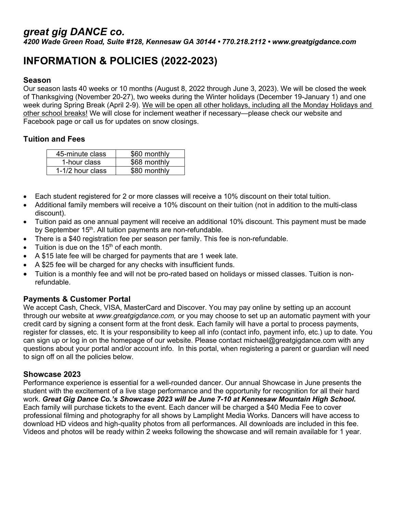# *great gig DANCE co.*

*4200 Wade Green Road, Suite #128, Kennesaw GA 30144 • 770.218.2112 • www.greatgigdance.com*

# **INFORMATION & POLICIES (2022-2023)**

#### **Season**

Our season lasts 40 weeks or 10 months (August 8, 2022 through June 3, 2023). We will be closed the week of Thanksgiving (November 20-27), two weeks during the Winter holidays (December 19-January 1) and one week during Spring Break (April 2-9). We will be open all other holidays, including all the Monday Holidays and other school breaks! We will close for inclement weather if necessary—please check our website and Facebook page or call us for updates on snow closings.

## **Tuition and Fees**

| 45-minute class  | \$60 monthly |
|------------------|--------------|
| 1-hour class     | \$68 monthly |
| 1-1/2 hour class | \$80 monthly |

- Each student registered for 2 or more classes will receive a 10% discount on their total tuition.
- Additional family members will receive a 10% discount on their tuition (not in addition to the multi-class discount).
- Tuition paid as one annual payment will receive an additional 10% discount. This payment must be made by September 15<sup>th</sup>. All tuition payments are non-refundable.
- There is a \$40 registration fee per season per family. This fee is non-refundable.
- Tuition is due on the 15<sup>th</sup> of each month.
- A \$15 late fee will be charged for payments that are 1 week late.
- A \$25 fee will be charged for any checks with insufficient funds.
- Tuition is a monthly fee and will not be pro-rated based on holidays or missed classes. Tuition is nonrefundable.

#### **Payments & Customer Portal**

We accept Cash, Check, VISA, MasterCard and Discover. You may pay online by setting up an account through our website at *[www.greatgigdance.com,](http://www.greatgigdance.com/)* or you may choose to set up an automatic payment with your credit card by signing a consent form at the front desk. Each family will have a portal to process payments, register for classes, etc. It is your responsibility to keep all info (contact info, payment info, etc.) up to date. You can sign up or log in on the homepage of our website. Please contact michael@greatgigdance.com with any questions about your portal and/or account info. In this portal, when registering a parent or guardian will need to sign off on all the policies below.

#### **Showcase 2023**

Performance experience is essential for a well-rounded dancer. Our annual Showcase in June presents the student with the excitement of a live stage performance and the opportunity for recognition for all their hard work. *Great Gig Dance Co.'s Showcase 2023 will be June 7-10 at Kennesaw Mountain High School.*  Each family will purchase tickets to the event. Each dancer will be charged a \$40 Media Fee to cover professional filming and photography for all shows by Lamplight Media Works. Dancers will have access to download HD videos and high-quality photos from all performances. All downloads are included in this fee. Videos and photos will be ready within 2 weeks following the showcase and will remain available for 1 year.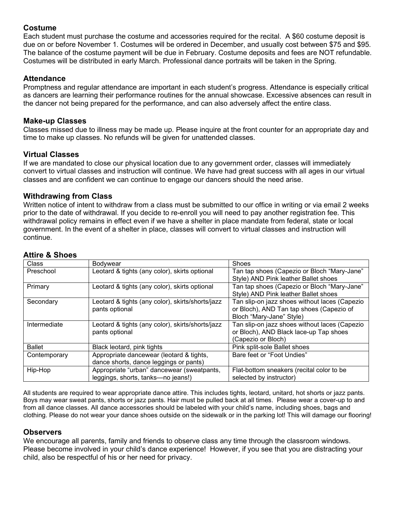## **Costume**

Each student must purchase the costume and accessories required for the recital. A \$60 costume deposit is due on or before November 1. Costumes will be ordered in December, and usually cost between \$75 and \$95. The balance of the costume payment will be due in February. Costume deposits and fees are NOT refundable. Costumes will be distributed in early March. Professional dance portraits will be taken in the Spring.

## **Attendance**

Promptness and regular attendance are important in each student's progress. Attendance is especially critical as dancers are learning their performance routines for the annual showcase. Excessive absences can result in the dancer not being prepared for the performance, and can also adversely affect the entire class.

#### **Make-up Classes**

Classes missed due to illness may be made up. Please inquire at the front counter for an appropriate day and time to make up classes. No refunds will be given for unattended classes.

## **Virtual Classes**

If we are mandated to close our physical location due to any government order, classes will immediately convert to virtual classes and instruction will continue. We have had great success with all ages in our virtual classes and are confident we can continue to engage our dancers should the need arise.

## **Withdrawing from Class**

Written notice of intent to withdraw from a class must be submitted to our office in writing or via email 2 weeks prior to the date of withdrawal. If you decide to re-enroll you will need to pay another registration fee. This withdrawal policy remains in effect even if we have a shelter in place mandate from federal, state or local government. In the event of a shelter in place, classes will convert to virtual classes and instruction will continue.

| Class         | <b>Bodywear</b>                                  | Shoes                                         |
|---------------|--------------------------------------------------|-----------------------------------------------|
| Preschool     | Leotard & tights (any color), skirts optional    | Tan tap shoes (Capezio or Bloch "Mary-Jane"   |
|               |                                                  | Style) AND Pink leather Ballet shoes          |
| Primary       | Leotard & tights (any color), skirts optional    | Tan tap shoes (Capezio or Bloch "Mary-Jane"   |
|               |                                                  | Style) AND Pink leather Ballet shoes          |
| Secondary     | Leotard & tights (any color), skirts/shorts/jazz | Tan slip-on jazz shoes without laces (Capezio |
|               | pants optional                                   | or Bloch), AND Tan tap shoes (Capezio of      |
|               |                                                  | Bloch "Mary-Jane" Style)                      |
| Intermediate  | Leotard & tights (any color), skirts/shorts/jazz | Tan slip-on jazz shoes without laces (Capezio |
|               | pants optional                                   | or Bloch), AND Black lace-up Tap shoes        |
|               |                                                  | (Capezio or Bloch)                            |
| <b>Ballet</b> | Black leotard, pink tights                       | Pink split-sole Ballet shoes                  |
| Contemporary  | Appropriate dancewear (leotard & tights,         | Bare feet or "Foot Undies"                    |
|               | dance shorts, dance leggings or pants)           |                                               |
| Hip-Hop       | Appropriate "urban" dancewear (sweatpants,       | Flat-bottom sneakers (recital color to be     |
|               | leggings, shorts, tanks-no jeans!)               | selected by instructor)                       |
|               |                                                  |                                               |

# **Attire & Shoes**

All students are required to wear appropriate dance attire. This includes tights, leotard, unitard, hot shorts or jazz pants. Boys may wear sweat pants, shorts or jazz pants. Hair must be pulled back at all times. Please wear a cover-up to and from all dance classes. All dance accessories should be labeled with your child's name, including shoes, bags and clothing. Please do not wear your dance shoes outside on the sidewalk or in the parking lot! This will damage our flooring!

## **Observers**

We encourage all parents, family and friends to observe class any time through the classroom windows. Please become involved in your child's dance experience! However, if you see that you are distracting your child, also be respectful of his or her need for privacy.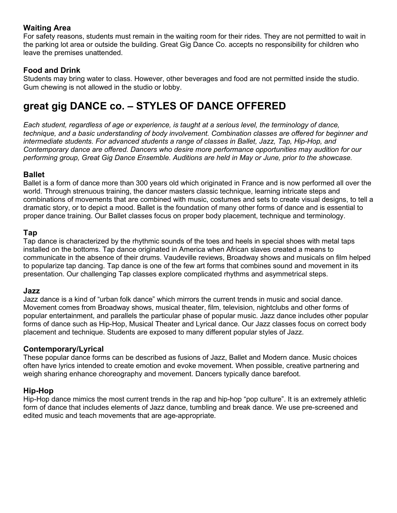## **Waiting Area**

For safety reasons, students must remain in the waiting room for their rides. They are not permitted to wait in the parking lot area or outside the building. Great Gig Dance Co. accepts no responsibility for children who leave the premises unattended.

# **Food and Drink**

Students may bring water to class. However, other beverages and food are not permitted inside the studio. Gum chewing is not allowed in the studio or lobby.

# **great gig DANCE co. – STYLES OF DANCE OFFERED**

*Each student, regardless of age or experience, is taught at a serious level, the terminology of dance, technique, and a basic understanding of body involvement. Combination classes are offered for beginner and intermediate students. For advanced students a range of classes in Ballet, Jazz, Tap, Hip-Hop, and Contemporary dance are offered. Dancers who desire more performance opportunities may audition for our performing group, Great Gig Dance Ensemble. Auditions are held in May or June, prior to the showcase.*

## **Ballet**

Ballet is a form of dance more than 300 years old which originated in France and is now performed all over the world. Through strenuous training, the dancer masters classic technique, learning intricate steps and combinations of movements that are combined with music, costumes and sets to create visual designs, to tell a dramatic story, or to depict a mood. Ballet is the foundation of many other forms of dance and is essential to proper dance training. Our Ballet classes focus on proper body placement, technique and terminology.

## **Tap**

Tap dance is characterized by the rhythmic sounds of the toes and heels in special shoes with metal taps installed on the bottoms. Tap dance originated in America when African slaves created a means to communicate in the absence of their drums. Vaudeville reviews, Broadway shows and musicals on film helped to popularize tap dancing. Tap dance is one of the few art forms that combines sound and movement in its presentation. Our challenging Tap classes explore complicated rhythms and asymmetrical steps.

## **Jazz**

Jazz dance is a kind of "urban folk dance" which mirrors the current trends in music and social dance. Movement comes from Broadway shows, musical theater, film, television, nightclubs and other forms of popular entertainment, and parallels the particular phase of popular music. Jazz dance includes other popular forms of dance such as Hip-Hop, Musical Theater and Lyrical dance. Our Jazz classes focus on correct body placement and technique. Students are exposed to many different popular styles of Jazz.

## **Contemporary/Lyrical**

These popular dance forms can be described as fusions of Jazz, Ballet and Modern dance. Music choices often have lyrics intended to create emotion and evoke movement. When possible, creative partnering and weigh sharing enhance choreography and movement. Dancers typically dance barefoot.

# **Hip-Hop**

Hip-Hop dance mimics the most current trends in the rap and hip-hop "pop culture". It is an extremely athletic form of dance that includes elements of Jazz dance, tumbling and break dance. We use pre-screened and edited music and teach movements that are age-appropriate.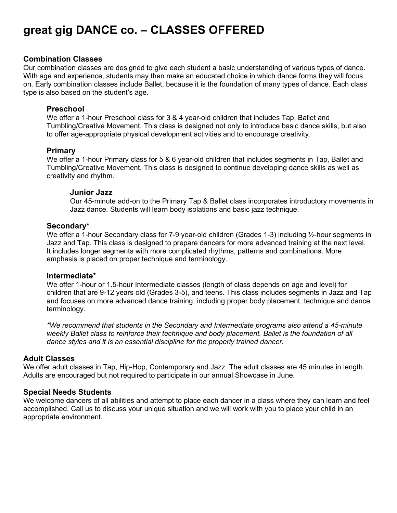# **great gig DANCE co. – CLASSES OFFERED**

#### **Combination Classes**

Our combination classes are designed to give each student a basic understanding of various types of dance. With age and experience, students may then make an educated choice in which dance forms they will focus on. Early combination classes include Ballet, because it is the foundation of many types of dance. Each class type is also based on the student's age.

#### **Preschool**

We offer a 1-hour Preschool class for 3 & 4 year-old children that includes Tap, Ballet and Tumbling/Creative Movement. This class is designed not only to introduce basic dance skills, but also to offer age-appropriate physical development activities and to encourage creativity.

#### **Primary**

We offer a 1-hour Primary class for 5 & 6 year-old children that includes segments in Tap, Ballet and Tumbling/Creative Movement. This class is designed to continue developing dance skills as well as creativity and rhythm.

#### **Junior Jazz**

Our 45-minute add-on to the Primary Tap & Ballet class incorporates introductory movements in Jazz dance. Students will learn body isolations and basic jazz technique.

#### **Secondary\***

We offer a 1-hour Secondary class for 7-9 year-old children (Grades 1-3) including 1/2-hour segments in Jazz and Tap. This class is designed to prepare dancers for more advanced training at the next level. It includes longer segments with more complicated rhythms, patterns and combinations. More emphasis is placed on proper technique and terminology.

#### **Intermediate\***

We offer 1-hour or 1.5-hour Intermediate classes (length of class depends on age and level) for children that are 9-12 years old (Grades 3-5), and teens. This class includes segments in Jazz and Tap and focuses on more advanced dance training, including proper body placement, technique and dance terminology.

*\*We recommend that students in the Secondary and Intermediate programs also attend a 45-minute weekly Ballet class to reinforce their technique and body placement. Ballet is the foundation of all dance styles and it is an essential discipline for the properly trained dancer.* 

#### **Adult Classes**

We offer adult classes in Tap, Hip-Hop, Contemporary and Jazz. The adult classes are 45 minutes in length. Adults are encouraged but not required to participate in our annual Showcase in June.

#### **Special Needs Students**

We welcome dancers of all abilities and attempt to place each dancer in a class where they can learn and feel accomplished. Call us to discuss your unique situation and we will work with you to place your child in an appropriate environment.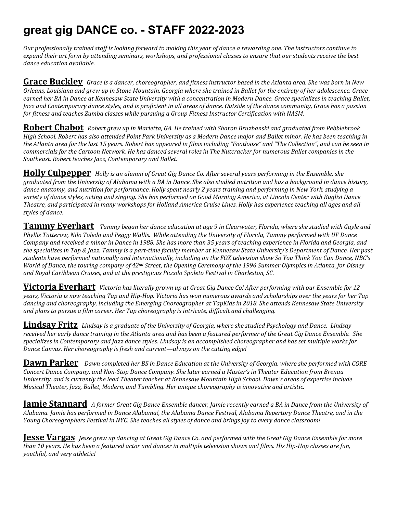# **great gig DANCE co. - STAFF 2022-2023**

*Our professionally trained staff is looking forward to making this year of dance a rewarding one. The instructors continue to expand their art form by attending seminars, workshops, and professional classes to ensure that our students receive the best dance education available.*

**Grace Buckley** *Grace is a dancer, choreographer, and fitness instructor based in the Atlanta area. She was born in New Orleans, Louisiana and grew up in Stone Mountain, Georgia where she trained in Ballet for the entirety of her adolescence. Grace earned her BA in Dance at Kennesaw State University with a concentration in Modern Dance. Grace specializes in teaching Ballet, Jazz and Contemporary dance styles, and is proficient in all areas of dance. Outside of the dance community, Grace has a passion for fitness and teaches Zumba classes while pursuing a Group Fitness Instructor Certification with NASM.*

**Robert Chabot** *Robert grew up in Marietta, GA. He trained with Sharon Bruzbanski and graduated from Pebblebrook High School. Robert has also attended Point Park University as a Modern Dance major and Ballet minor. He has been teaching in the Atlanta area for the last 15 years. Robert has appeared in films including "Footloose" and "The Collection", and can be seen in commercials for the Cartoon Network. He has danced several roles in The Nutcracker for numerous Ballet companies in the Southeast. Robert teaches Jazz, Contemporary and Ballet.*

**Holly Culpepper** *Holly is an alumni of Great Gig Dance Co. After several years performing in the Ensemble, she graduated from the University of Alabama with a BA in Dance. She also studied nutrition and has a background in dance history, dance anatomy, and nutrition for performance. Holly spent nearly 2 years training and performing in New York, studying a variety of dance styles, acting and singing. She has performed on Good Morning America, at Lincoln Center with Buglisi Dance Theatre, and participated in many workshops for Holland America Cruise Lines. Holly has experience teaching all ages and all styles of dance.*

**Tammy Everhart** *Tammy began her dance education at age 9 in Clearwater, Florida, where she studied with Gayle and Phyllis Tutterow, Nilo Toledo and Peggy Wallis. While attending the University of Florida, Tammy performed with UF Dance Company and received a minor in Dance in 1988. She has more than 35 years of teaching experience in Florida and Georgia, and she specializes in Tap & Jazz. Tammy is a part-time faculty member at Kennesaw State University's Department of Dance. Her past students have performed nationally and internationally, including on the FOX television show So You Think You Can Dance, NBC's World of Dance, the touring company of 42nd Street, the Opening Ceremony of the 1996 Summer Olympics in Atlanta, for Disney and Royal Caribbean Cruises, and at the prestigious Piccolo Spoleto Festival in Charleston, SC.*

**Victoria Everhart** *Victoria has literally grown up at Great Gig Dance Co! After performing with our Ensemble for 12 years, Victoria is now teaching Tap and Hip-Hop. Victoria has won numerous awards and scholarships over the years for her Tap dancing and choreography, including the Emerging Choreographer at TapKids in 2018. She attends Kennesaw State University and plans to pursue a film career. Her Tap choreography is intricate, difficult and challenging.*

**Lindsay Fritz** *Lindsay is a graduate of the University of Georgia, where she studied Psychology and Dance. Lindsay received her early dance training in the Atlanta area and has been a featured performer of the Great Gig Dance Ensemble. She specializes in Contemporary and Jazz dance styles. Lindsay is an accomplished choreographer and has set multiple works for Dance Canvas. Her choreography is fresh and current—always on the cutting edge!* 

**Dawn Parker** *Dawn completed her BS in Dance Education at the University of Georgia, where she performed with CORE Concert Dance Company, and Non-Stop Dance Company. She later earned a Master's in Theater Education from Brenau University, and is currently the lead Theater teacher at Kennesaw Mountain High School. Dawn's areas of expertise include Musical Theater, Jazz, Ballet, Modern, and Tumbling. Her unique choreography is innovative and artistic.*

**Jamie Stannard** *A former Great Gig Dance Ensemble dancer, Jamie recently earned a BA in Dance from the University of Alabama. Jamie has performed in Dance Alabama!, the Alabama Dance Festival, Alabama Repertory Dance Theatre, and in the Young Choreographers Festival in NYC. She teaches all styles of dance and brings joy to every dance classroom!*

**Jesse Vargas** *Jesse grew up dancing at Great Gig Dance Co. and performed with the Great Gig Dance Ensemble for more than 10 years. He has been a featured actor and dancer in multiple television shows and films. His Hip-Hop classes are fun, youthful, and very athletic!*